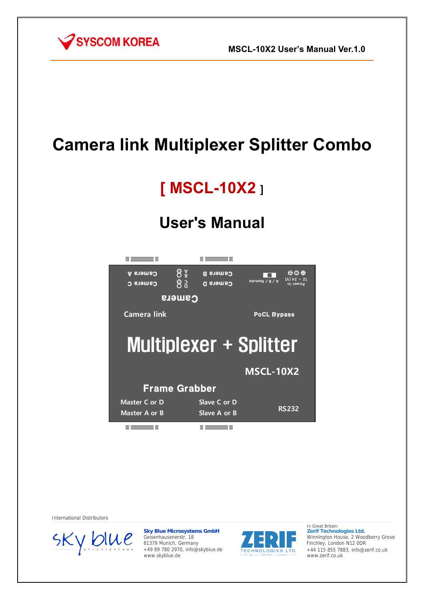

# **Camera link Multiplexer Splitter Combo**

# **[ MSCL-10X2** ]

# **User's Manual**



International Distributors



**Sky Blue Microsystems GmbH** Geisenhausenerstr. 18 81379 Munich, Germany +49 89 780 2970, info@skyblue.de www.skyblue.de



In Great Britain: **Zerif Technologies Ltd.** Winnington House, 2 Woodberry Grove Finchley, London N12 0DR +44 115 855 7883, info@zerif.co.uk www.zerif.co.uk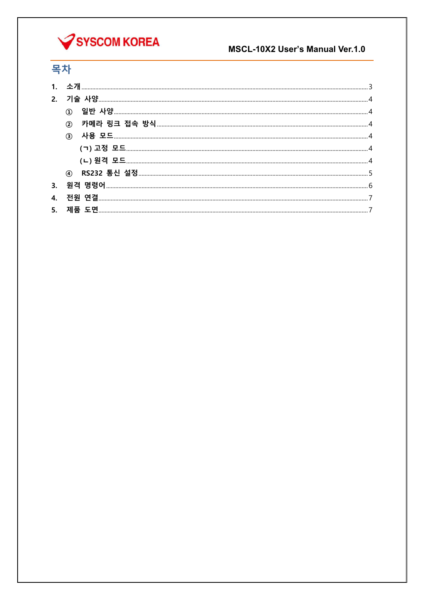

### MSCL-10X2 User's Manual Ver.1.0

## 목차

| (2)           |  |
|---------------|--|
| $\circled{3}$ |  |
|               |  |
|               |  |
|               |  |
|               |  |
|               |  |
|               |  |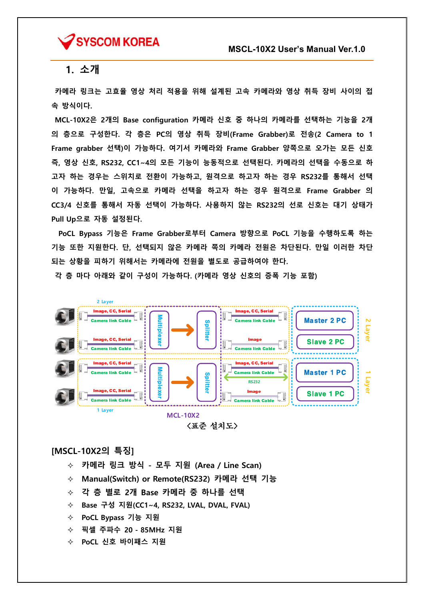

### 1. 소개

 카메라 링크는 고효율 영상 처리 적용을 위해 설계된 고속 카메라와 영상 취득 장비 사이의 접 속 방식이다.

 MCL-10X2은 2개의 Base configuration 카메라 신호 중 하나의 카메라를 선택하는 기능을 2개 의 층으로 구성한다. 각 층은 PC의 영상 취득 장비(Frame Grabber)로 전송(2 Camera to 1 Frame grabber 선택)이 가능하다. 여기서 카메라와 Frame Grabber 양쪽으로 오가는 모든 신호 즉, 영상 신호, RS232, CC1~4의 모든 기능이 능동적으로 선택된다. 카메라의 선택을 수동으로 하 고자 하는 경우는 스위치로 전환이 가능하고, 원격으로 하고자 하는 경우 RS232를 통해서 선택 이 가능하다. 만일, 고속으로 카메라 선택을 하고자 하는 경우 원격으로 Frame Grabber 의 CC3/4 신호를 통해서 자동 선택이 가능하다. 사용하지 않는 RS232의 선로 신호는 대기 상태가 Pull Up으로 자동 설정된다.

PoCL Bypass 기능은 Frame Grabber로부터 Camera 방향으로 PoCL 기능을 수행하도록 하는 기능 또한 지원한다. 단, 선택되지 않은 카메라 쪽의 카메라 전원은 차단된다. 만일 이러한 차단 되는 상황을 피하기 위해서는 카메라에 전원을 별도로 공급하여야 한다.

각 층 마다 아래와 같이 구성이 가능하다. (카메라 영상 신호의 증폭 기능 포함)



<표준 설치도>

#### [MSCL-10X2의 특징]

- 카메라 링크 방식 모두 지원 (Area / Line Scan)
- Manual(Switch) or Remote(RS232) 카메라 선택 기능
- 각 층 별로 2개 Base 카메라 중 하나를 선택
- Base 구성 지원(CC1~4, RS232, LVAL, DVAL, FVAL)
- PoCL Bypass 기능 지원
- 픽셀 주파수 20 85MHz 지원
- ◇ PoCL 신호 바이패스 지원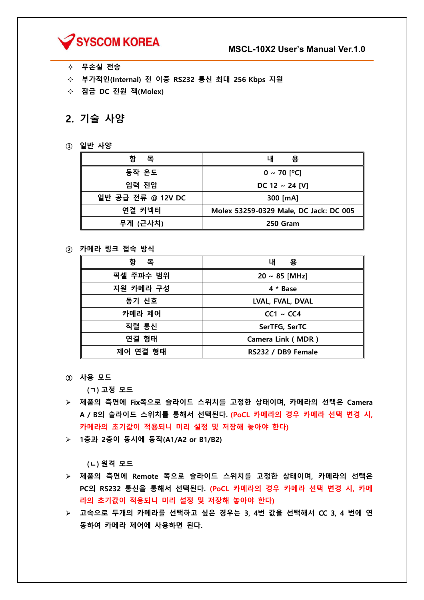

- ◇ 무손실 전송
- 부가적인(Internal) 전 이중 RS232 통신 최대 256 Kbps 지원
- ◇ 잠금 DC 전원 잭(Molex)

### 2. 기술 사양

① 일반 사양

| 항<br>목            | 용<br>내                                 |
|-------------------|----------------------------------------|
| 동작 온도             | $0 \sim 70$ [°C]                       |
| 입력 전압             | DC 12 $\sim$ 24 [V]                    |
| 일반 공급 전류 @ 12V DC | 300 [mA]                               |
| 연결 커넥터            | Molex 53259-0329 Male, DC Jack: DC 005 |
| 무게 (근사치)          | 250 Gram                               |

#### ② 카메라 링크 접속 방식

| 항<br>목    | 용<br>내                   |
|-----------|--------------------------|
| 픽셀 주파수 범위 | $20 \sim 85$ [MHz]       |
| 지원 카메라 구성 | 4 * Base                 |
| 동기 신호     | LVAL, FVAL, DVAL         |
| 카메라 제어    | $CC1 \sim CC4$           |
| 직렬 통신     | SerTFG, SerTC            |
| 연결 형태     | <b>Camera Link (MDR)</b> |
| 제어 연결 형태  | RS232 / DB9 Female       |

③ 사용 모드

(ㄱ) 고정 모드

- 제품의 측면에 Fix쪽으로 슬라이드 스위치를 고정한 상태이며, 카메라의 선택은 Camera A / B의 슬라이드 스위치를 통해서 선택된다. (PoCL 카메라의 경우 카메라 선택 변경 시, 카메라의 초기값이 적용되니 미리 설정 및 저장해 놓아야 한다)
- 1층과 2층이 동시에 동작(A1/A2 or B1/B2)

(ㄴ) 원격 모드

- 제품의 측면에 Remote 쪽으로 슬라이드 스위치를 고정한 상태이며, 카메라의 선택은 PC의 RS232 통신을 통해서 선택된다. (PoCL 카메라의 경우 카메라 선택 변경 시, 카메 라의 초기값이 적용되니 미리 설정 및 저장해 놓아야 한다)
- 고속으로 두개의 카메라를 선택하고 싶은 경우는 3, 4번 값을 선택해서 CC 3, 4 번에 연 동하여 카메라 제어에 사용하면 된다.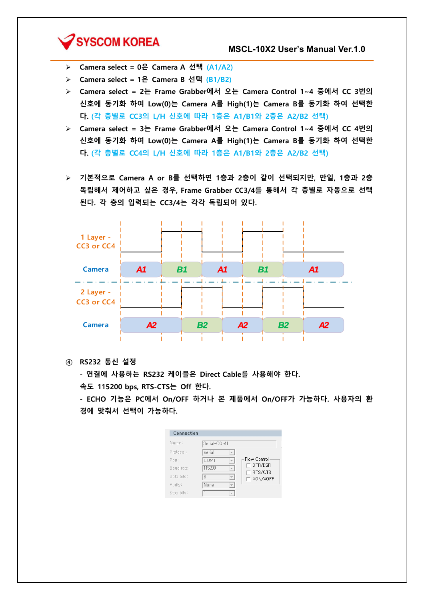## SYSCOM KOREA

- Camera select = 0은 Camera A 선택 (A1/A2)
- Camera select = 1은 Camera B 선택 (B1/B2)
- Camera select = 2는 Frame Grabber에서 오는 Camera Control 1~4 중에서 CC 3번의 신호에 동기화 하여 Low(0)는 Camera A를 High(1)는 Camera B를 동기화 하여 선택한 다. (각 층별로 CC3의 L/H 신호에 따라 1층은 A1/B1와 2층은 A2/B2 선택)
- Camera select = 3는 Frame Grabber에서 오는 Camera Control 1~4 중에서 CC 4번의 신호에 동기화 하여 Low(0)는 Camera A를 High(1)는 Camera B를 동기화 하여 선택한 다. (각 층별로 CC4의 L/H 신호에 따라 1층은 A1/B1와 2층은 A2/B2 선택)
- 기본적으로 Camera A or B를 선택하면 1층과 2층이 같이 선택되지만, 만일, 1층과 2층 독립해서 제어하고 싶은 경우, Frame Grabber CC3/4를 통해서 각 층별로 자동으로 선택 된다. 각 층의 입력되는 CC3/4는 각각 독립되어 있다.



④ RS232 통신 설정

- 연결에 사용하는 RS232 케이블은 Direct Cable를 사용해야 한다.

속도 115200 bps, RTS-CTS는 Off 한다.

- ECHO 기능은 PC에서 On/OFF 하거나 본 제품에서 On/OFF가 가능하다. 사용자의 환 경에 맞춰서 선택이 가능하다.

| Connection |             |                          |                    |
|------------|-------------|--------------------------|--------------------|
| Name:      | Serial-COM1 |                          |                    |
| Protocol:  | serial      |                          |                    |
| Port:      | COM1        |                          | Flow Control       |
| Baud rate: | 115200      | $\overline{\phantom{a}}$ | DTR/DSR<br>RTS/CTS |
| Data bits: | l8          |                          | XON/XOFF           |
| Parity:    | l None      |                          |                    |
| Stop bits: |             |                          |                    |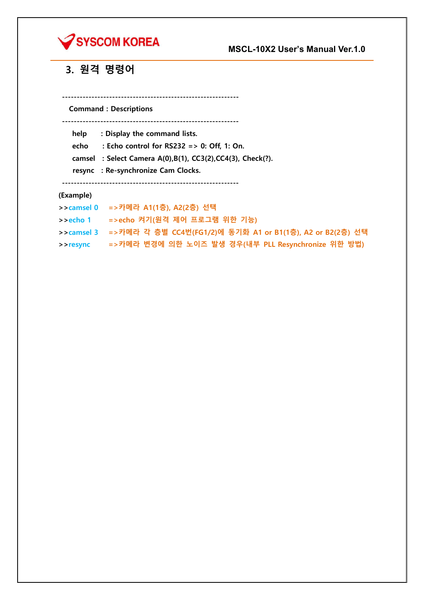

## 3. 원격 명령어

Command : Descriptions

------------------------------------------------------------

------------------------------------------------------------

help : Display the command lists.

echo : Echo control for RS232 => 0: Off, 1: On.

camsel : Select Camera A(0),B(1), CC3(2),CC4(3), Check(?).

resync : Re-synchronize Cam Clocks.

------------------------------------------------------------

#### (Example)

>>camsel 0 =>카메라 A1(1층), A2(2층) 선택

>>echo 1 =>echo 켜기(원격 제어 프로그램 위한 기능)

>>camsel 3 =>카메라 각 층별 CC4번(FG1/2)에 동기화 A1 or B1(1층), A2 or B2(2층) 선택

>>resync =>카메라 변경에 의한 노이즈 발생 경우(내부 PLL Resynchronize 위한 방법)